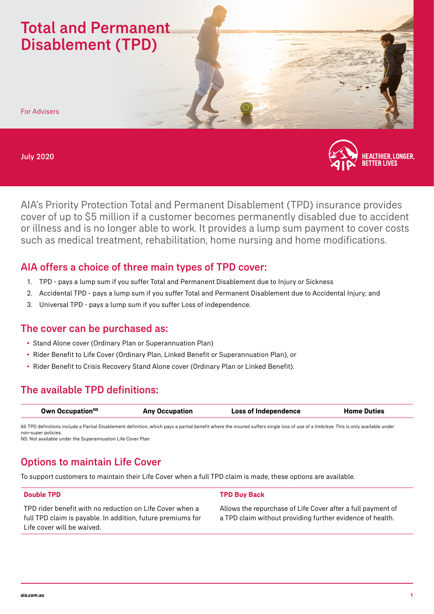# Total and Permanent Disablement (TPD)

For Advisers

#### July 2020



AIA's Priority Protection Total and Permanent Disablement (TPD) insurance provides cover of up to \$5 million if a customer becomes permanently disabled due to accident or illness and is no longer able to work. It provides a lump sum payment to cover costs such as medical treatment, rehabilitation, home nursing and home modifications.

## AIA offers a choice of three main types of TPD cover:

- 1. TPD pays a lump sum if you suffer Total and Permanent Disablement due to Injury or Sickness
- 2. Accidental TPD pays a lump sum if you suffer Total and Permanent Disablement due to Accidental Injury; and
- 3. Universal TPD pays a lump sum if you suffer Loss of independence.

### The cover can be purchased as:

- Stand Alone cover (Ordinary Plan or Superannuation Plan)
- Rider Benefit to Life Cover (Ordinary Plan, Linked Benefit or Superannuation Plan), or
- Rider Benefit to Crisis Recovery Stand Alone cover (Ordinary Plan or Linked Benefit).

## The available TPD definitions:

| Own Occupation <sup>NS</sup> | <b>Any Occupation</b> | <b>Loss of Independence</b> | <b>Home Duties</b> |
|------------------------------|-----------------------|-----------------------------|--------------------|
|                              |                       |                             |                    |

All TPD definitions include a Partial Disablement definition, which pays a partial benefit where the insured suffers single loss of use of a limb/eye. This is only available under non-super policies. NS: Not available under the Superannuation Life Cover Plan

## Options to maintain Life Cover

To support customers to maintain their Life Cover when a full TPD claim is made, these options are available.

#### **Double TPD**

TPD rider benefit with no reduction on Life Cover when a full TPD claim is payable. In addition, future premiums for Life cover will be waived.

#### **TPD Buy Back**

Allows the repurchase of Life Cover after a full payment of a TPD claim without providing further evidence of health.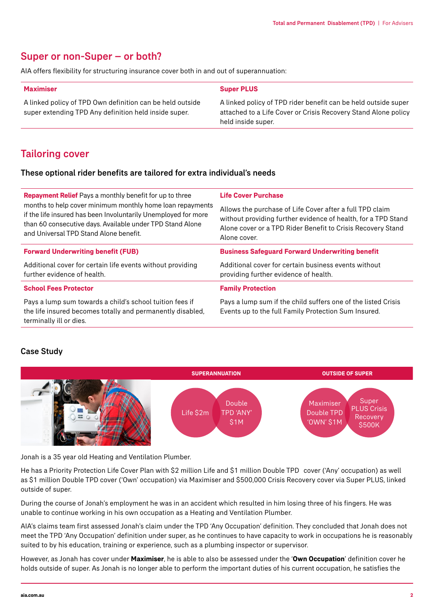### Super or non-Super – or both?

AIA offers flexibility for structuring insurance cover both in and out of superannuation:

| <b>Maximiser</b>                                                                                                   | <b>Super PLUS</b>                                                                                                                                      |
|--------------------------------------------------------------------------------------------------------------------|--------------------------------------------------------------------------------------------------------------------------------------------------------|
| A linked policy of TPD Own definition can be held outside<br>super extending TPD Any definition held inside super. | A linked policy of TPD rider benefit can be held outside super<br>attached to a Life Cover or Crisis Recovery Stand Alone policy<br>held inside super. |
|                                                                                                                    |                                                                                                                                                        |

# Tailoring cover

### These optional rider benefits are tailored for extra individual's needs

| <b>Repayment Relief</b> Pays a monthly benefit for up to three                                                                                                                                                                     | <b>Life Cover Purchase</b>                                                                                                                                                                               |  |
|------------------------------------------------------------------------------------------------------------------------------------------------------------------------------------------------------------------------------------|----------------------------------------------------------------------------------------------------------------------------------------------------------------------------------------------------------|--|
| months to help cover minimum monthly home loan repayments<br>if the life insured has been Involuntarily Unemployed for more<br>than 60 consecutive days. Available under TPD Stand Alone<br>and Universal TPD Stand Alone benefit. | Allows the purchase of Life Cover after a full TPD claim<br>without providing further evidence of health, for a TPD Stand<br>Alone cover or a TPD Rider Benefit to Crisis Recovery Stand<br>Alone cover. |  |
| <b>Forward Underwriting benefit (FUB)</b>                                                                                                                                                                                          | <b>Business Safeguard Forward Underwriting benefit</b>                                                                                                                                                   |  |
| Additional cover for certain life events without providing<br>further evidence of health.                                                                                                                                          | Additional cover for certain business events without<br>providing further evidence of health.                                                                                                            |  |
| <b>School Fees Protector</b>                                                                                                                                                                                                       | <b>Family Protection</b>                                                                                                                                                                                 |  |
| Pays a lump sum towards a child's school tuition fees if<br>the life insured becomes totally and permanently disabled,<br>terminally ill or dies.                                                                                  | Pays a lump sum if the child suffers one of the listed Crisis<br>Events up to the full Family Protection Sum Insured.                                                                                    |  |

### Case Study



Jonah is a 35 year old Heating and Ventilation Plumber.

He has a Priority Protection Life Cover Plan with \$2 million Life and \$1 million Double TPD cover ('Any' occupation) as well as \$1 million Double TPD cover ('Own' occupation) via Maximiser and \$500,000 Crisis Recovery cover via Super PLUS, linked outside of super.

During the course of Jonah's employment he was in an accident which resulted in him losing three of his fingers. He was unable to continue working in his own occupation as a Heating and Ventilation Plumber.

AIA's claims team first assessed Jonah's claim under the TPD 'Any Occupation' definition. They concluded that Jonah does not meet the TPD 'Any Occupation' definition under super, as he continues to have capacity to work in occupations he is reasonably suited to by his education, training or experience, such as a plumbing inspector or supervisor.

However, as Jonah has cover under **Maximiser**, he is able to also be assessed under the '**Own Occupation**' definition cover he holds outside of super. As Jonah is no longer able to perform the important duties of his current occupation, he satisfies the